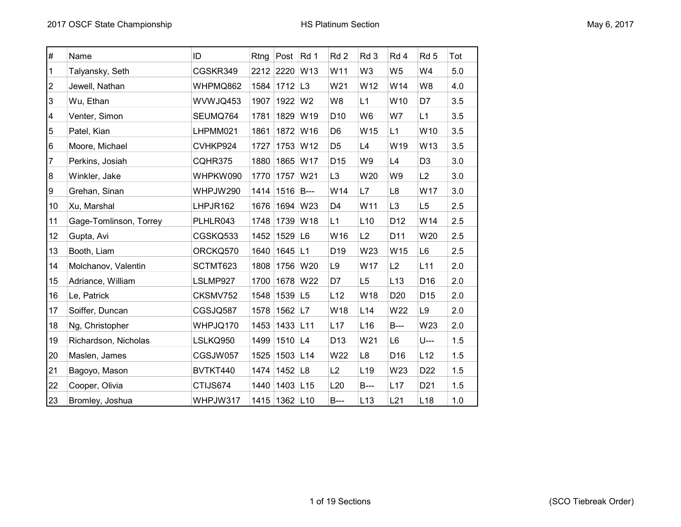| #                       | Name                   | ID       | Rtng | Post Rd 1     |                 | Rd <sub>2</sub> | Rd 3            | Rd 4            | Rd <sub>5</sub> | Tot |
|-------------------------|------------------------|----------|------|---------------|-----------------|-----------------|-----------------|-----------------|-----------------|-----|
| 1                       | Talyansky, Seth        | CGSKR349 |      | 2212 2220 W13 |                 | W11             | W <sub>3</sub>  | W <sub>5</sub>  | W4              | 5.0 |
| $\overline{\mathbf{c}}$ | Jewell, Nathan         | WHPMQ862 | 1584 | $1712$ L3     |                 | W21             | W12             | W14             | W8              | 4.0 |
| 3                       | Wu, Ethan              | WVWJQ453 | 1907 | 1922 W2       |                 | W8              | L1              | W10             | D7              | 3.5 |
| 4                       | Venter, Simon          | SEUMQ764 | 1781 | 1829          | W19             | D <sub>10</sub> | W <sub>6</sub>  | W7              | L1              | 3.5 |
| 5                       | Patel, Kian            | LHPMM021 | 1861 | 1872 W16      |                 | D <sub>6</sub>  | W15             | L1              | W10             | 3.5 |
| 6                       | Moore, Michael         | CVHKP924 | 1727 | 1753          | W <sub>12</sub> | D <sub>5</sub>  | L4              | W19             | W13             | 3.5 |
| 7                       | Perkins, Josiah        | CQHR375  | 1880 | 1865 W17      |                 | D <sub>15</sub> | W9              | L4              | D <sub>3</sub>  | 3.0 |
| $\overline{8}$          | Winkler, Jake          | WHPKW090 | 1770 | 1757          | W21             | L <sub>3</sub>  | W20             | W9              | L2              | 3.0 |
| 9                       | Grehan, Sinan          | WHPJW290 | 1414 | 1516 B---     |                 | W14             | L7              | L8              | W17             | 3.0 |
| 10                      | Xu, Marshal            | LHPJR162 | 1676 | 1694 W23      |                 | D <sub>4</sub>  | W11             | L <sub>3</sub>  | L <sub>5</sub>  | 2.5 |
| 11                      | Gage-Tomlinson, Torrey | PLHLR043 | 1748 | 1739 W18      |                 | L1              | L10             | D <sub>12</sub> | W14             | 2.5 |
| 12                      | Gupta, Avi             | CGSKQ533 | 1452 | $1529$ L6     |                 | W16             | L2              | D11             | W20             | 2.5 |
| 13                      | Booth, Liam            | ORCKQ570 | 1640 | 1645 L1       |                 | D <sub>19</sub> | W23             | W15             | L <sub>6</sub>  | 2.5 |
| 14                      | Molchanov, Valentin    | SCTMT623 | 1808 | 1756 W20      |                 | L9              | W17             | L2              | L11             | 2.0 |
| 15                      | Adriance, William      | LSLMP927 | 1700 | 1678 W22      |                 | D7              | L5              | L13             | D16             | 2.0 |
| 16                      | Le, Patrick            | CKSMV752 | 1548 | 1539 L5       |                 | L12             | W18             | D <sub>20</sub> | D <sub>15</sub> | 2.0 |
| 17                      | Soiffer, Duncan        | CGSJQ587 | 1578 | 1562 L7       |                 | W18             | L <sub>14</sub> | W22             | L9              | 2.0 |
| 18                      | Ng, Christopher        | WHPJQ170 | 1453 | 1433 L11      |                 | L17             | L16             | <b>B</b> ---    | W23             | 2.0 |
| 19                      | Richardson, Nicholas   | LSLKQ950 | 1499 | $1510$ L4     |                 | D <sub>13</sub> | W21             | L <sub>6</sub>  | U---            | 1.5 |
| 20                      | Maslen, James          | CGSJW057 | 1525 | 1503 L14      |                 | W22             | L8              | D16             | L12             | 1.5 |
| 21                      | Bagoyo, Mason          | BVTKT440 | 1474 | 1452 $ $ L8   |                 | L2              | L <sub>19</sub> | W23             | D <sub>22</sub> | 1.5 |
| 22                      | Cooper, Olivia         | CTIJS674 | 1440 | 1403          | L15             | L20             | $B--$           | L17             | D <sub>21</sub> | 1.5 |
| 23                      | Bromley, Joshua        | WHPJW317 |      | 1415 1362 L10 |                 | $B--$           | L13             | L21             | L <sub>18</sub> | 1.0 |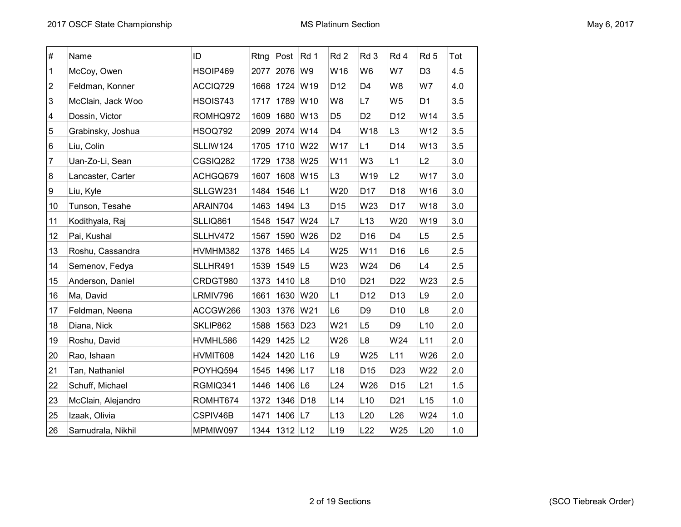| $\#$           | Name               | ID             | Rtng | Post                  | Rd 1            | Rd <sub>2</sub> | Rd 3            | Rd 4            | Rd <sub>5</sub> | Tot |
|----------------|--------------------|----------------|------|-----------------------|-----------------|-----------------|-----------------|-----------------|-----------------|-----|
| 1              | McCoy, Owen        | HSOIP469       | 2077 | 2076                  | W9              | W16             | W <sub>6</sub>  | W7              | D <sub>3</sub>  | 4.5 |
| 2              | Feldman, Konner    | ACCIQ729       |      | 1668 1724             | W19             | D <sub>12</sub> | D <sub>4</sub>  | W8              | W7              | 4.0 |
| 3              | McClain, Jack Woo  | HSOIS743       | 1717 | 1789                  | W10             | W8              | L7              | W5              | D <sub>1</sub>  | 3.5 |
| 4              | Dossin, Victor     | ROMHQ972       | 1609 | 1680 W13              |                 | D <sub>5</sub>  | D <sub>2</sub>  | D <sub>12</sub> | W14             | 3.5 |
| 5              | Grabinsky, Joshua  | <b>HSOQ792</b> | 2099 | 2074 W14              |                 | D4              | W18             | L <sub>3</sub>  | W12             | 3.5 |
| 6              | Liu, Colin         | SLLIW124       | 1705 | 1710                  | W22             | W17             | L1              | D14             | W13             | 3.5 |
| $\overline{7}$ | Uan-Zo-Li, Sean    | CGSIQ282       | 1729 | 1738                  | W25             | W11             | W <sub>3</sub>  | L1              | L2              | 3.0 |
| 8              | Lancaster, Carter  | ACHGQ679       | 1607 | 1608 W15              |                 | L <sub>3</sub>  | W19             | L2              | W17             | 3.0 |
| 9              | Liu, Kyle          | SLLGW231       | 1484 | 1546 L1               |                 | W20             | D17             | D18             | W16             | 3.0 |
| 10             | Tunson, Tesahe     | ARAIN704       | 1463 | 1494 $ L3$            |                 | D <sub>15</sub> | W23             | D17             | W18             | 3.0 |
| 11             | Kodithyala, Raj    | SLLIQ861       | 1548 | 1547                  | W24             | L7              | L13             | W20             | W19             | 3.0 |
| 12             | Pai, Kushal        | SLLHV472       | 1567 | 1590 W26              |                 | D <sub>2</sub>  | D16             | D4              | L <sub>5</sub>  | 2.5 |
| 13             | Roshu, Cassandra   | HVMHM382       | 1378 | 1465 $ L4$            |                 | W25             | W11             | D16             | L6              | 2.5 |
| 14             | Semenov, Fedya     | SLLHR491       | 1539 | 1549 L5               |                 | W23             | W24             | D <sub>6</sub>  | L4              | 2.5 |
| 15             | Anderson, Daniel   | CRDGT980       | 1373 | 1410 $ $ L8           |                 | D <sub>10</sub> | D <sub>21</sub> | D <sub>22</sub> | W23             | 2.5 |
| 16             | Ma, David          | LRMIV796       | 1661 | 1630                  | W20             | L1              | D <sub>12</sub> | D <sub>13</sub> | L9              | 2.0 |
| 17             | Feldman, Neena     | ACCGW266       | 1303 | 1376                  | W21             | L6              | D <sub>9</sub>  | D <sub>10</sub> | L8              | 2.0 |
| 18             | Diana, Nick        | SKLIP862       | 1588 | 1563                  | D <sub>23</sub> | W21             | L <sub>5</sub>  | D9              | L10             | 2.0 |
| 19             | Roshu, David       | HVMHL586       | 1429 | $1425$ L <sub>2</sub> |                 | W26             | L <sub>8</sub>  | W24             | L <sub>11</sub> | 2.0 |
| 20             | Rao, Ishaan        | HVMIT608       | 1424 | 1420 L16              |                 | L9              | W25             | L11             | W26             | 2.0 |
| 21             | Tan, Nathaniel     | POYHQ594       | 1545 | 1496                  | L17             | L <sub>18</sub> | D <sub>15</sub> | D <sub>23</sub> | W22             | 2.0 |
| 22             | Schuff, Michael    | RGMIQ341       |      | 1446 1406 L6          |                 | L24             | W26             | D <sub>15</sub> | L21             | 1.5 |
| 23             | McClain, Alejandro | ROMHT674       | 1372 | 1346                  | D <sub>18</sub> | L14             | L10             | D <sub>21</sub> | L15             | 1.0 |
| 25             | Izaak, Olivia      | CSPIV46B       | 1471 | 1406 L7               |                 | L13             | L20             | L <sub>26</sub> | W24             | 1.0 |
| 26             | Samudrala, Nikhil  | MPMIW097       |      | 1344 1312 L12         |                 | L <sub>19</sub> | L22             | W25             | L20             | 1.0 |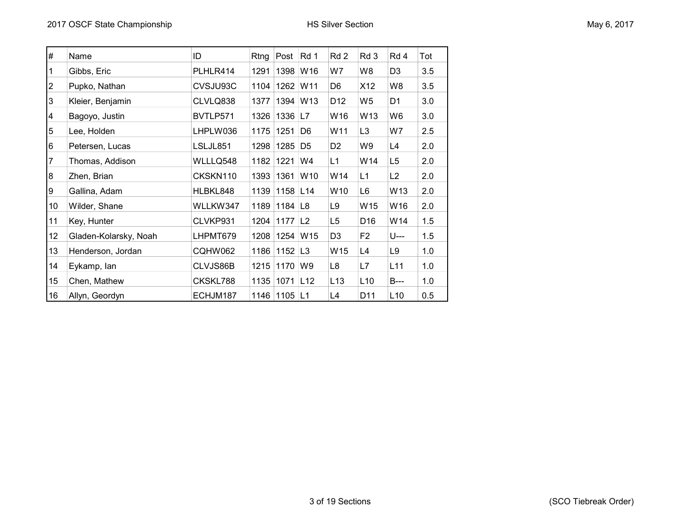| May 6, 2017 |  |  |  |
|-------------|--|--|--|
|-------------|--|--|--|

| $\#$ | Name                  | ID       | Rtng | Post                  | Rd 1           | Rd 2            | Rd 3            | Rd 4            | Tot |
|------|-----------------------|----------|------|-----------------------|----------------|-----------------|-----------------|-----------------|-----|
| 1    | Gibbs, Eric           | PLHLR414 | 1291 | 1398                  | W16            | W7              | W8              | D <sub>3</sub>  | 3.5 |
| 2    | Pupko, Nathan         | CVSJU93C | 1104 | 1262 W11              |                | D6              | X12             | W8              | 3.5 |
| 3    | Kleier, Benjamin      | CLVLQ838 | 1377 | 1394                  | W13            | D <sub>12</sub> | W <sub>5</sub>  | D1              | 3.0 |
| 4    | Bagoyo, Justin        | BVTLP571 | 1326 | 1336                  | L7             | W16             | W13             | W6              | 3.0 |
| 5    | Lee, Holden           | LHPLW036 | 1175 | 1251                  | D6             | W11             | L <sub>3</sub>  | W7              | 2.5 |
| 6    | Petersen, Lucas       | LSLJL851 | 1298 | 1285                  | D <sub>5</sub> | D <sub>2</sub>  | W9              | L4              | 2.0 |
| 7    | Thomas, Addison       | WLLLQ548 | 1182 | 1221                  | W4             | L1              | W14             | L <sub>5</sub>  | 2.0 |
| 8    | Zhen, Brian           | CKSKN110 | 1393 | 1361                  | W10            | W14             | L1              | L <sub>2</sub>  | 2.0 |
| 9    | Gallina, Adam         | HLBKL848 | 1139 | 1158 L14              |                | W10             | L6              | W13             | 2.0 |
| 10   | Wilder, Shane         | WLLKW347 | 1189 | 1184                  | L <sub>8</sub> | L9              | W15             | W16             | 2.0 |
| 11   | Key, Hunter           | CLVKP931 | 1204 | 1177                  | L2             | L5              | D <sub>16</sub> | W14             | 1.5 |
| 12   | Gladen-Kolarsky, Noah | LHPMT679 | 1208 | 1254                  | W15            | D <sub>3</sub>  | F2              | U---            | 1.5 |
| 13   | Henderson, Jordan     | CQHW062  | 1186 | $1152$ L <sub>3</sub> |                | W15             | L4              | L9              | 1.0 |
| 14   | Eykamp, lan           | CLVJS86B | 1215 | 1170                  | W9             | L8              | L7              | L <sub>11</sub> | 1.0 |
| 15   | Chen, Mathew          | CKSKL788 | 1135 | 1071                  | L12            | L13             | L10             | B---            | 1.0 |
| 16   | Allyn, Geordyn        | ECHJM187 |      | 1146 1105 L1          |                | L4              | D11             | L <sub>10</sub> | 0.5 |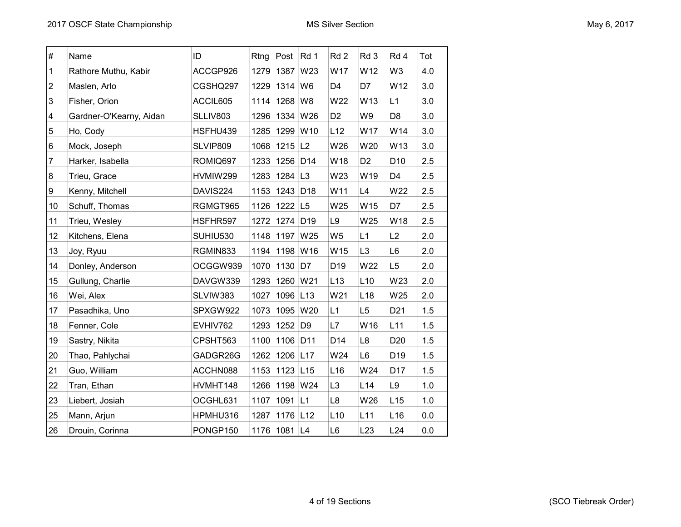| May 6, 2017 |  |  |  |
|-------------|--|--|--|
|-------------|--|--|--|

| $\#$ | Name                    | ID       | Rtng | Post                  | Rd 1            | Rd <sub>2</sub> | Rd 3            | Rd 4            | Tot |
|------|-------------------------|----------|------|-----------------------|-----------------|-----------------|-----------------|-----------------|-----|
| 1    | Rathore Muthu, Kabir    | ACCGP926 | 1279 | 1387                  | W23             | W17             | W12             | W <sub>3</sub>  | 4.0 |
| 2    | Maslen, Arlo            | CGSHQ297 | 1229 | 1314                  | W <sub>6</sub>  | D <sub>4</sub>  | D7              | W12             | 3.0 |
| 3    | Fisher, Orion           | ACCIL605 | 1114 | 1268                  | W8              | W22             | W13             | L1              | 3.0 |
| 4    | Gardner-O'Kearny, Aidan | SLLIV803 | 1296 | 1334 W26              |                 | D <sub>2</sub>  | W9              | D <sub>8</sub>  | 3.0 |
| 5    | Ho, Cody                | HSFHU439 | 1285 | 1299 W10              |                 | L12             | W17             | W14             | 3.0 |
| 6    | Mock, Joseph            | SLVIP809 | 1068 | $1215$ L <sub>2</sub> |                 | W26             | W20             | W13             | 3.0 |
| 7    | Harker, Isabella        | ROMIQ697 | 1233 | 1256                  | D <sub>14</sub> | W18             | D <sub>2</sub>  | D <sub>10</sub> | 2.5 |
| 8    | Trieu, Grace            | HVMIW299 | 1283 | 1284 $ L3$            |                 | W23             | W19             | D <sub>4</sub>  | 2.5 |
| 9    | Kenny, Mitchell         | DAVIS224 | 1153 | 1243 D18              |                 | W11             | L4              | W22             | 2.5 |
| 10   | Schuff, Thomas          | RGMGT965 | 1126 | 1222 L5               |                 | W25             | W15             | D7              | 2.5 |
| 11   | Trieu, Wesley           | HSFHR597 | 1272 | 1274 D19              |                 | L9              | W25             | W18             | 2.5 |
| 12   | Kitchens, Elena         | SUHIU530 | 1148 | 1197                  | W25             | W <sub>5</sub>  | L1              | L2              | 2.0 |
| 13   | Joy, Ryuu               | RGMIN833 | 1194 | 1198 W16              |                 | W15             | L <sub>3</sub>  | L <sub>6</sub>  | 2.0 |
| 14   | Donley, Anderson        | OCGGW939 | 1070 | 1130                  | D7              | D <sub>19</sub> | W22             | L <sub>5</sub>  | 2.0 |
| 15   | Gullung, Charlie        | DAVGW339 | 1293 | 1260 W21              |                 | L13             | L10             | W23             | 2.0 |
| 16   | Wei, Alex               | SLVIW383 | 1027 | 1096                  | L13             | W21             | L <sub>18</sub> | W25             | 2.0 |
| 17   | Pasadhika, Uno          | SPXGW922 | 1073 | 1095                  | W20             | L1              | L5              | D <sub>21</sub> | 1.5 |
| 18   | Fenner, Cole            | EVHIV762 | 1293 | 1252                  | D <sub>9</sub>  | L7              | W16             | L11             | 1.5 |
| 19   | Sastry, Nikita          | CPSHT563 | 1100 | 1106 D11              |                 | D14             | L8              | D <sub>20</sub> | 1.5 |
| 20   | Thao, Pahlychai         | GADGR26G | 1262 | 1206 L17              |                 | W24             | L <sub>6</sub>  | D19             | 1.5 |
| 21   | Guo, William            | ACCHN088 | 1153 | 1123                  | L15             | L <sub>16</sub> | W24             | D <sub>17</sub> | 1.5 |
| 22   | Tran, Ethan             | HVMHT148 | 1266 | 1198 W24              |                 | L <sub>3</sub>  | L14             | L9              | 1.0 |
| 23   | Liebert, Josiah         | OCGHL631 | 1107 | 1091                  | L1              | L8              | W26             | L15             | 1.0 |
| 25   | Mann, Arjun             | HPMHU316 | 1287 | 1176 L12              |                 | L10             | L11             | L16             | 0.0 |
| 26   | Drouin, Corinna         | PONGP150 | 1176 | 1081                  | L4              | L <sub>6</sub>  | L23             | L24             | 0.0 |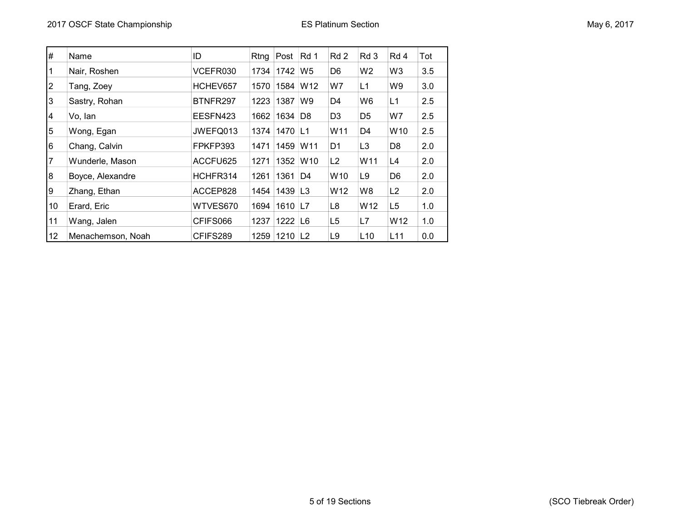| $\#$           | Name              | ID       | Rtng | Post         | Rd 1            | Rd 2            | Rd 3            | Rd 4            | Tot |
|----------------|-------------------|----------|------|--------------|-----------------|-----------------|-----------------|-----------------|-----|
|                | Nair, Roshen      | VCEFR030 | 1734 | 1742         | W <sub>5</sub>  | D <sub>6</sub>  | W <sub>2</sub>  | W <sub>3</sub>  | 3.5 |
| $\overline{2}$ | Tang, Zoey        | HCHEV657 | 1570 | 1584         | W <sub>12</sub> | W7              | L1              | W9              | 3.0 |
| 3              | Sastry, Rohan     | BTNFR297 | 1223 | 1387         | W9              | D4              | W6              | L1              | 2.5 |
| 4              | Vo, lan           | EESFN423 | 1662 | 1634         | D8              | D <sub>3</sub>  | D <sub>5</sub>  | W7              | 2.5 |
| 5              | Wong, Egan        | JWEFQ013 | 1374 | 1470 L1      |                 | W11             | D4              | W <sub>10</sub> | 2.5 |
| 6              | Chang, Calvin     | FPKFP393 | 1471 | 1459         | W <sub>11</sub> | D <sub>1</sub>  | L <sub>3</sub>  | D <sub>8</sub>  | 2.0 |
| 7              | Wunderle, Mason   | ACCFU625 | 1271 | 1352         | W <sub>10</sub> | L2              | W <sub>11</sub> | L4              | 2.0 |
| 8              | Boyce, Alexandre  | HCHFR314 | 1261 | 1361         | D4              | W <sub>10</sub> | L9              | D <sub>6</sub>  | 2.0 |
| 9              | Zhang, Ethan      | ACCEP828 | 1454 | 1439   L3    |                 | W <sub>12</sub> | W8              | L2              | 2.0 |
| 10             | Erard, Eric       | WTVES670 | 1694 | 1610 L7      |                 | L8              | W12             | L <sub>5</sub>  | 1.0 |
| 11             | Wang, Jalen       | CFIFS066 | 1237 | 1222         | L6              | L <sub>5</sub>  | L7              | W12             | 1.0 |
| 12             | Menachemson, Noah | CFIFS289 |      | 1259 1210 L2 |                 | L9              | L <sub>10</sub> | L11             | 0.0 |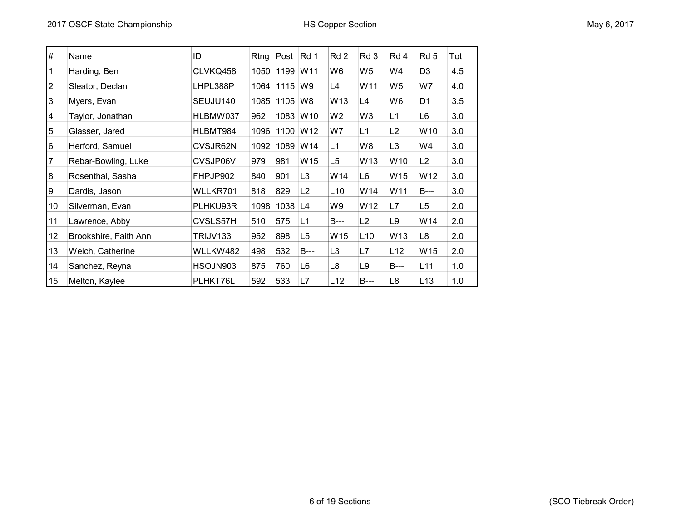| #              | Name                  | ID       | Rtng | Post      | Rd 1            | Rd 2           | Rd 3           | Rd 4            | Rd <sub>5</sub> | Tot |
|----------------|-----------------------|----------|------|-----------|-----------------|----------------|----------------|-----------------|-----------------|-----|
|                | Harding, Ben          | CLVKQ458 | 1050 | 1199      | W <sub>11</sub> | W6             | W5             | W4              | D <sub>3</sub>  | 4.5 |
| $\overline{2}$ | Sleator, Declan       | LHPL388P | 1064 | 1115      | W9              | L4             | W11            | W <sub>5</sub>  | W7              | 4.0 |
| 3              | Myers, Evan           | SEUJU140 | 1085 | 1105      | W8              | W13            | L4             | W6              | D <sub>1</sub>  | 3.5 |
| $\overline{4}$ | Taylor, Jonathan      | HLBMW037 | 962  | 1083      | W <sub>10</sub> | W <sub>2</sub> | W <sub>3</sub> | L1              | L6              | 3.0 |
| 5              | Glasser, Jared        | HLBMT984 | 1096 | 1100      | W <sub>12</sub> | W7             | L1             | L2              | W10             | 3.0 |
| 6              | Herford, Samuel       | CVSJR62N | 1092 | 1089      | W14             | L1             | W8             | L <sub>3</sub>  | W4              | 3.0 |
| 7              | Rebar-Bowling, Luke   | CVSJP06V | 979  | 981       | W15             | L <sub>5</sub> | W13            | W10             | L <sub>2</sub>  | 3.0 |
| 8              | Rosenthal, Sasha      | FHPJP902 | 840  | 901       | L <sub>3</sub>  | W14            | L6             | W <sub>15</sub> | W12             | 3.0 |
| 9              | Dardis, Jason         | WLLKR701 | 818  | 829       | L2              | L10            | W14            | W11             | <b>B</b> ---    | 3.0 |
| 10             | Silverman, Evan       | PLHKU93R | 1098 | $1038$ L4 |                 | W9             | W12            | L7              | L <sub>5</sub>  | 2.0 |
| 11             | Lawrence, Abby        | CVSLS57H | 510  | 575       | L1              | <b>B</b> ---   | L2             | L <sub>9</sub>  | W14             | 2.0 |
| 12             | Brookshire, Faith Ann | TRIJV133 | 952  | 898       | L <sub>5</sub>  | W15            | L10            | W <sub>13</sub> | L8              | 2.0 |
| 13             | Welch, Catherine      | WLLKW482 | 498  | 532       | $B--$           | L <sub>3</sub> | L7             | L12             | W15             | 2.0 |
| 14             | Sanchez, Reyna        | HSOJN903 | 875  | 760       | L6              | L <sub>8</sub> | L <sub>9</sub> | <b>B</b> ---    | L <sub>11</sub> | 1.0 |
| 15             | Melton, Kaylee        | PLHKT76L | 592  | 533       | L7              | L12            | $B--$          | L <sub>8</sub>  | L13             | 1.0 |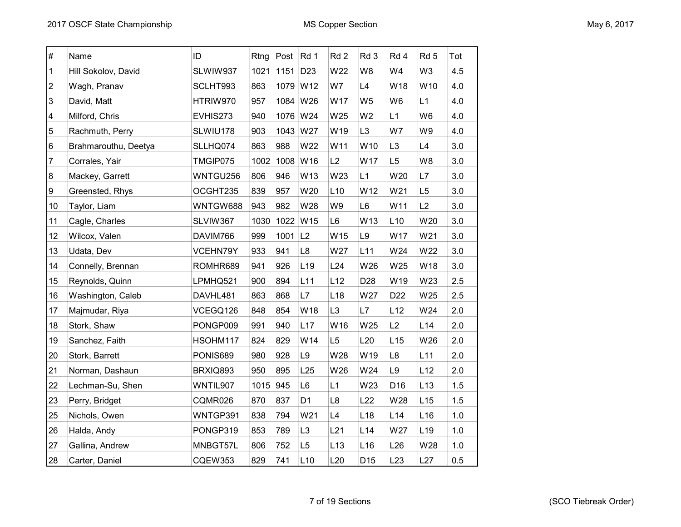| $\#$                    | Name                 | ID             | Rtng | Post | Rd 1            | Rd <sub>2</sub> | Rd 3            | Rd 4            | Rd 5            | Tot |
|-------------------------|----------------------|----------------|------|------|-----------------|-----------------|-----------------|-----------------|-----------------|-----|
| 1                       | Hill Sokolov, David  | SLWIW937       | 1021 | 1151 | D <sub>23</sub> | W22             | W <sub>8</sub>  | W4              | W <sub>3</sub>  | 4.5 |
| $\overline{c}$          | Wagh, Pranav         | SCLHT993       | 863  |      | 1079 W12        | W7              | L4              | W18             | W10             | 4.0 |
| 3                       | David, Matt          | HTRIW970       | 957  | 1084 | W26             | W17             | W <sub>5</sub>  | W <sub>6</sub>  | L1              | 4.0 |
| $\overline{\mathbf{4}}$ | Milford, Chris       | EVHIS273       | 940  | 1076 | W24             | W25             | W <sub>2</sub>  | L1              | W <sub>6</sub>  | 4.0 |
| 5                       | Rachmuth, Perry      | SLWIU178       | 903  | 1043 | W27             | W19             | L <sub>3</sub>  | W7              | W9              | 4.0 |
| $6\phantom{.}6$         | Brahmarouthu, Deetya | SLLHQ074       | 863  | 988  | W22             | W11             | W10             | L3              | L4              | 3.0 |
| 7                       | Corrales, Yair       | TMGIP075       | 1002 | 1008 | W16             | L2              | W17             | L5              | W8              | 3.0 |
| $\bf 8$                 | Mackey, Garrett      | WNTGU256       | 806  | 946  | W13             | W23             | L1              | W20             | L7              | 3.0 |
| 9                       | Greensted, Rhys      | OCGHT235       | 839  | 957  | W20             | L10             | W12             | W21             | L5              | 3.0 |
| 10                      | Taylor, Liam         | WNTGW688       | 943  | 982  | W28             | W9              | L <sub>6</sub>  | W11             | L2              | 3.0 |
| 11                      | Cagle, Charles       | SLVIW367       | 1030 | 1022 | W15             | L <sub>6</sub>  | W13             | L10             | W20             | 3.0 |
| 12                      | Wilcox, Valen        | DAVIM766       | 999  | 1001 | L2              | W15             | L9              | W17             | W21             | 3.0 |
| 13                      | Udata, Dev           | VCEHN79Y       | 933  | 941  | L8              | W27             | L11             | W24             | W22             | 3.0 |
| 14                      | Connelly, Brennan    | ROMHR689       | 941  | 926  | L <sub>19</sub> | L24             | W26             | W25             | W18             | 3.0 |
| 15                      | Reynolds, Quinn      | LPMHQ521       | 900  | 894  | L11             | L12             | D <sub>28</sub> | W19             | W23             | 2.5 |
| 16                      | Washington, Caleb    | DAVHL481       | 863  | 868  | L7              | L <sub>18</sub> | W27             | D <sub>22</sub> | W25             | 2.5 |
| 17                      | Majmudar, Riya       | VCEGQ126       | 848  | 854  | W18             | L <sub>3</sub>  | L7              | L12             | W24             | 2.0 |
| 18                      | Stork, Shaw          | PONGP009       | 991  | 940  | L17             | W16             | W25             | L2              | L <sub>14</sub> | 2.0 |
| 19                      | Sanchez, Faith       | HSOHM117       | 824  | 829  | W14             | L <sub>5</sub>  | L20             | L15             | W26             | 2.0 |
| 20                      | Stork, Barrett       | PONIS689       | 980  | 928  | L9              | W28             | W19             | L <sub>8</sub>  | L11             | 2.0 |
| 21                      | Norman, Dashaun      | BRXIQ893       | 950  | 895  | L25             | W26             | W24             | L9              | L12             | 2.0 |
| 22                      | Lechman-Su, Shen     | WNTIL907       | 1015 | 945  | L6              | L1              | W23             | D16             | L13             | 1.5 |
| 23                      | Perry, Bridget       | CQMR026        | 870  | 837  | D <sub>1</sub>  | L <sub>8</sub>  | L22             | W28             | L15             | 1.5 |
| 25                      | Nichols, Owen        | WNTGP391       | 838  | 794  | W21             | L4              | L <sub>18</sub> | L14             | L16             | 1.0 |
| 26                      | Halda, Andy          | PONGP319       | 853  | 789  | L <sub>3</sub>  | L21             | L14             | W27             | L <sub>19</sub> | 1.0 |
| 27                      | Gallina, Andrew      | MNBGT57L       | 806  | 752  | L <sub>5</sub>  | L13             | L16             | L26             | W28             | 1.0 |
| 28                      | Carter, Daniel       | <b>CQEW353</b> | 829  | 741  | L10             | L20             | D <sub>15</sub> | L23             | L27             | 0.5 |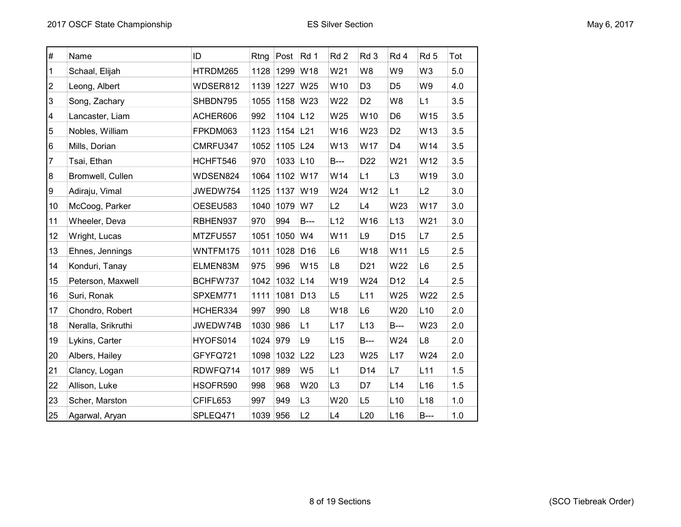| $\#$                    | Name               | ID       | Rtng     | Post     | Rd 1            | Rd <sub>2</sub> | Rd 3            | Rd 4            | Rd <sub>5</sub> | Tot   |
|-------------------------|--------------------|----------|----------|----------|-----------------|-----------------|-----------------|-----------------|-----------------|-------|
| 1                       | Schaal, Elijah     | HTRDM265 | 1128     | 1299     | W18             | W21             | W8              | W9              | W <sub>3</sub>  | 5.0   |
| $\overline{\mathbf{c}}$ | Leong, Albert      | WDSER812 | 1139     | 1227     | W25             | W10             | D <sub>3</sub>  | D <sub>5</sub>  | W9              | 4.0   |
| 3                       | Song, Zachary      | SHBDN795 | 1055     | 1158     | W23             | W22             | D <sub>2</sub>  | W8              | L1              | 3.5   |
| 4                       | Lancaster, Liam    | ACHER606 | 992      | 1104 L12 |                 | W25             | W10             | D <sub>6</sub>  | W15             | 3.5   |
| 5                       | Nobles, William    | FPKDM063 | 1123     | 1154 L21 |                 | W16             | W23             | D <sub>2</sub>  | W13             | 3.5   |
| 6                       | Mills, Dorian      | CMRFU347 | 1052     | 1105     | L24             | W13             | W17             | D4              | W14             | 3.5   |
| 7                       | Tsai, Ethan        | HCHFT546 | 970      | 1033 L10 |                 | <b>B</b> ---    | D <sub>22</sub> | W21             | W12             | 3.5   |
| 8                       | Bromwell, Cullen   | WDSEN824 | 1064     | 1102 W17 |                 | W14             | L1              | L3              | W19             | 3.0   |
| 9                       | Adiraju, Vimal     | JWEDW754 | 1125     | 1137     | W19             | W24             | W12             | L1              | L2              | 3.0   |
| 10                      | McCoog, Parker     | OESEU583 | 1040     | 1079     | W7              | L2              | L4              | W23             | W17             | 3.0   |
| 11                      | Wheeler, Deva      | RBHEN937 | 970      | 994      | $B--$           | L12             | W16             | L13             | W21             | 3.0   |
| 12                      | Wright, Lucas      | MTZFU557 | 1051     | 1050     | W4              | W11             | L9              | D <sub>15</sub> | L7              | 2.5   |
| 13                      | Ehnes, Jennings    | WNTFM175 | 1011     | 1028     | D <sub>16</sub> | L <sub>6</sub>  | W18             | W11             | L <sub>5</sub>  | 2.5   |
| 14                      | Konduri, Tanay     | ELMEN83M | 975      | 996      | W15             | L <sub>8</sub>  | D <sub>21</sub> | W22             | L <sub>6</sub>  | 2.5   |
| 15                      | Peterson, Maxwell  | BCHFW737 | 1042     | 1032 L14 |                 | W19             | W24             | D12             | L4              | 2.5   |
| 16                      | Suri, Ronak        | SPXEM771 | 1111     | 1081     | D <sub>13</sub> | L5              | L11             | W25             | W22             | 2.5   |
| 17                      | Chondro, Robert    | HCHER334 | 997      | 990      | L <sub>8</sub>  | W18             | L6              | W20             | L10             | 2.0   |
| 18                      | Neralla, Srikruthi | JWEDW74B | 1030     | 986      | L1              | L17             | L13             | <b>B</b> ---    | W23             | 2.0   |
| 19                      | Lykins, Carter     | HYOFS014 | 1024     | 979      | L9              | L15             | <b>B</b> ---    | W24             | L8              | 2.0   |
| 20                      | Albers, Hailey     | GFYFQ721 | 1098     | 1032     | L22             | L23             | W25             | L17             | W24             | 2.0   |
| 21                      | Clancy, Logan      | RDWFQ714 | 1017     | 989      | W <sub>5</sub>  | L1              | D <sub>14</sub> | L7              | L11             | 1.5   |
| 22                      | Allison, Luke      | HSOFR590 | 998      | 968      | W20             | L <sub>3</sub>  | D7              | L14             | L <sub>16</sub> | 1.5   |
| 23                      | Scher, Marston     | CFIFL653 | 997      | 949      | L <sub>3</sub>  | W20             | L <sub>5</sub>  | L <sub>10</sub> | L <sub>18</sub> | 1.0   |
| 25                      | Agarwal, Aryan     | SPLEQ471 | 1039 956 |          | L2              | L4              | L20             | L <sub>16</sub> | $B--$           | $1.0$ |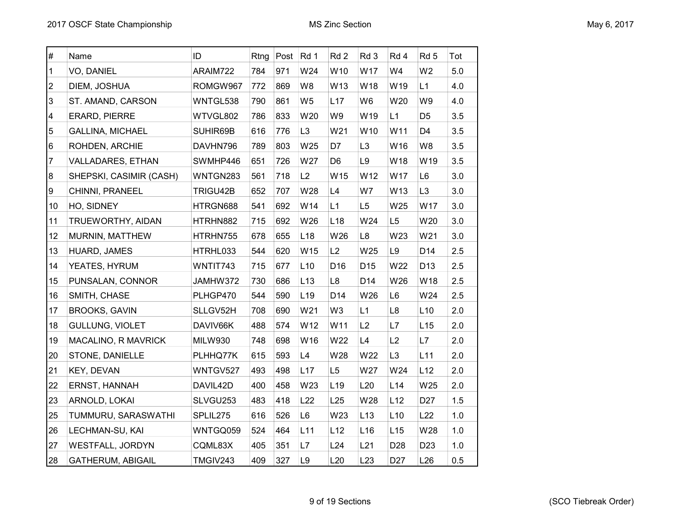| $\#$                    | Name                     | ID             | Rtng | Post | Rd 1            | Rd <sub>2</sub> | Rd 3            | Rd 4            | Rd <sub>5</sub> | Tot |
|-------------------------|--------------------------|----------------|------|------|-----------------|-----------------|-----------------|-----------------|-----------------|-----|
| 1                       | VO, DANIEL               | ARAIM722       | 784  | 971  | W24             | W10             | W17             | W4              | W <sub>2</sub>  | 5.0 |
| $\overline{\mathbf{c}}$ | DIEM, JOSHUA             | ROMGW967       | 772  | 869  | W8              | W13             | W18             | W19             | L1              | 4.0 |
| 3                       | ST. AMAND, CARSON        | WNTGL538       | 790  | 861  | W <sub>5</sub>  | L17             | W6              | W20             | W9              | 4.0 |
| 4                       | <b>ERARD, PIERRE</b>     | WTVGL802       | 786  | 833  | W20             | W9              | W19             | L1              | D <sub>5</sub>  | 3.5 |
| 5                       | <b>GALLINA, MICHAEL</b>  | SUHIR69B       | 616  | 776  | L <sub>3</sub>  | W21             | W10             | W11             | D <sub>4</sub>  | 3.5 |
| 6                       | ROHDEN, ARCHIE           | DAVHN796       | 789  | 803  | W25             | D7              | L <sub>3</sub>  | W16             | W8              | 3.5 |
| 7                       | VALLADARES, ETHAN        | SWMHP446       | 651  | 726  | W27             | D <sub>6</sub>  | L9              | W18             | W19             | 3.5 |
| 8                       | SHEPSKI, CASIMIR (CASH)  | WNTGN283       | 561  | 718  | L2              | W15             | W12             | W17             | L <sub>6</sub>  | 3.0 |
| 9                       | CHINNI, PRANEEL          | TRIGU42B       | 652  | 707  | W28             | L4              | W7              | W13             | L <sub>3</sub>  | 3.0 |
| 10                      | HO, SIDNEY               | HTRGN688       | 541  | 692  | W14             | L1              | L <sub>5</sub>  | W25             | W17             | 3.0 |
| 11                      | TRUEWORTHY, AIDAN        | HTRHN882       | 715  | 692  | W26             | L <sub>18</sub> | W24             | L <sub>5</sub>  | W20             | 3.0 |
| 12                      | MURNIN, MATTHEW          | HTRHN755       | 678  | 655  | L <sub>18</sub> | W26             | L8              | W23             | W21             | 3.0 |
| 13                      | HUARD, JAMES             | HTRHL033       | 544  | 620  | W15             | L2              | W25             | L9              | D14             | 2.5 |
| 14                      | YEATES, HYRUM            | WNTIT743       | 715  | 677  | L10             | D <sub>16</sub> | D <sub>15</sub> | W22             | D <sub>13</sub> | 2.5 |
| 15                      | PUNSALAN, CONNOR         | JAMHW372       | 730  | 686  | L <sub>13</sub> | L8              | D <sub>14</sub> | W26             | W18             | 2.5 |
| 16                      | SMITH, CHASE             | PLHGP470       | 544  | 590  | L <sub>19</sub> | D14             | W26             | L6              | W24             | 2.5 |
| 17                      | <b>BROOKS, GAVIN</b>     | SLLGV52H       | 708  | 690  | W21             | W <sub>3</sub>  | L1              | L8              | L10             | 2.0 |
| 18                      | GULLUNG, VIOLET          | DAVIV66K       | 488  | 574  | W12             | W11             | L2              | L7              | L15             | 2.0 |
| 19                      | MACALINO, R MAVRICK      | <b>MILW930</b> | 748  | 698  | W16             | W22             | L4              | L2              | L7              | 2.0 |
| 20                      | STONE, DANIELLE          | PLHHQ77K       | 615  | 593  | L4              | W28             | W22             | L <sub>3</sub>  | L11             | 2.0 |
| 21                      | KEY, DEVAN               | WNTGV527       | 493  | 498  | L17             | L <sub>5</sub>  | W27             | W24             | L12             | 2.0 |
| 22                      | ERNST, HANNAH            | DAVIL42D       | 400  | 458  | W23             | L <sub>19</sub> | L20             | L14             | W25             | 2.0 |
| 23                      | ARNOLD, LOKAI            | SLVGU253       | 483  | 418  | L22             | L25             | W28             | L12             | D <sub>27</sub> | 1.5 |
| 25                      | TUMMURU, SARASWATHI      | SPLIL275       | 616  | 526  | L <sub>6</sub>  | W23             | L13             | L10             | L22             | 1.0 |
| 26                      | LECHMAN-SU, KAI          | WNTGQ059       | 524  | 464  | L11             | L12             | L16             | L15             | W28             | 1.0 |
| 27                      | WESTFALL, JORDYN         | CQML83X        | 405  | 351  | L7              | L24             | L21             | D <sub>28</sub> | D <sub>23</sub> | 1.0 |
| 28                      | <b>GATHERUM, ABIGAIL</b> | TMGIV243       | 409  | 327  | L9              | L20             | L23             | D <sub>27</sub> | L26             | 0.5 |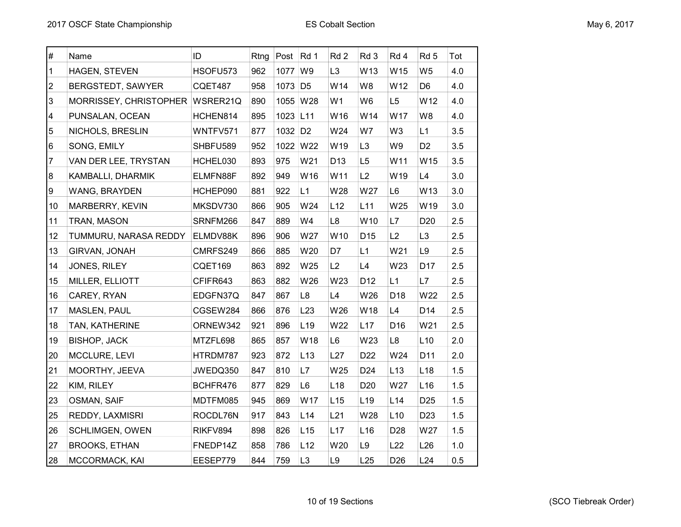| $\#$                    | Name                   | ID       | Rtng | Post                | Rd 1            | Rd 2            | Rd 3            | Rd 4            | Rd 5            | Tot |
|-------------------------|------------------------|----------|------|---------------------|-----------------|-----------------|-----------------|-----------------|-----------------|-----|
| 1                       | HAGEN, STEVEN          | HSOFU573 | 962  | 1077                | W9              | L <sub>3</sub>  | W13             | W15             | W <sub>5</sub>  | 4.0 |
| $\overline{2}$          | BERGSTEDT, SAWYER      | CQET487  | 958  | 1073 D5             |                 | W14             | W8              | W12             | D <sub>6</sub>  | 4.0 |
| 3                       | MORRISSEY, CHRISTOPHER | WSRER21Q | 890  | 1055 W28            |                 | W <sub>1</sub>  | W <sub>6</sub>  | L <sub>5</sub>  | W12             | 4.0 |
| $\overline{\mathbf{4}}$ | PUNSALAN, OCEAN        | HCHEN814 | 895  | 1023 L11            |                 | W16             | W14             | W17             | W8              | 4.0 |
| 5                       | NICHOLS, BRESLIN       | WNTFV571 | 877  | 1032 D <sub>2</sub> |                 | W24             | W7              | W3              | L1              | 3.5 |
| 6                       | SONG, EMILY            | SHBFU589 | 952  | 1022 W22            |                 | W19             | L <sub>3</sub>  | W9              | D <sub>2</sub>  | 3.5 |
| $\overline{7}$          | VAN DER LEE, TRYSTAN   | HCHEL030 | 893  | 975                 | W21             | D <sub>13</sub> | L5              | W11             | W15             | 3.5 |
| $\bf 8$                 | KAMBALLI, DHARMIK      | ELMFN88F | 892  | 949                 | W16             | W11             | L2              | W19             | L4              | 3.0 |
| 9                       | WANG, BRAYDEN          | HCHEP090 | 881  | 922                 | L1              | W28             | W27             | L <sub>6</sub>  | W13             | 3.0 |
| 10                      | MARBERRY, KEVIN        | MKSDV730 | 866  | 905                 | W24             | L12             | L11             | W25             | W19             | 3.0 |
| 11                      | TRAN, MASON            | SRNFM266 | 847  | 889                 | W4              | L8              | W10             | L7              | D <sub>20</sub> | 2.5 |
| 12                      | TUMMURU, NARASA REDDY  | ELMDV88K | 896  | 906                 | W27             | W10             | D <sub>15</sub> | L2              | L <sub>3</sub>  | 2.5 |
| 13                      | GIRVAN, JONAH          | CMRFS249 | 866  | 885                 | W20             | D7              | L1              | W21             | L9              | 2.5 |
| 14                      | JONES, RILEY           | CQET169  | 863  | 892                 | W25             | L2              | L4              | W23             | D17             | 2.5 |
| 15                      | MILLER, ELLIOTT        | CFIFR643 | 863  | 882                 | W26             | W23             | D12             | L1              | L7              | 2.5 |
| 16                      | CAREY, RYAN            | EDGFN37Q | 847  | 867                 | L8              | L4              | W26             | D <sub>18</sub> | W22             | 2.5 |
| 17                      | MASLEN, PAUL           | CGSEW284 | 866  | 876                 | L23             | W26             | W18             | L4              | D <sub>14</sub> | 2.5 |
| 18                      | TAN, KATHERINE         | ORNEW342 | 921  | 896                 | L <sub>19</sub> | W22             | L17             | D <sub>16</sub> | W21             | 2.5 |
| 19                      | <b>BISHOP, JACK</b>    | MTZFL698 | 865  | 857                 | W18             | L6              | W23             | L8              | L10             | 2.0 |
| 20                      | MCCLURE, LEVI          | HTRDM787 | 923  | 872                 | L13             | L27             | D <sub>22</sub> | W24             | D11             | 2.0 |
| 21                      | MOORTHY, JEEVA         | JWEDQ350 | 847  | 810                 | L7              | W25             | D <sub>24</sub> | L13             | L <sub>18</sub> | 1.5 |
| 22                      | KIM, RILEY             | BCHFR476 | 877  | 829                 | L <sub>6</sub>  | L <sub>18</sub> | D <sub>20</sub> | W27             | L16             | 1.5 |
| 23                      | OSMAN, SAIF            | MDTFM085 | 945  | 869                 | W17             | L15             | L <sub>19</sub> | L14             | D <sub>25</sub> | 1.5 |
| 25                      | REDDY, LAXMISRI        | ROCDL76N | 917  | 843                 | L <sub>14</sub> | L21             | W28             | L10             | D <sub>23</sub> | 1.5 |
| 26                      | <b>SCHLIMGEN, OWEN</b> | RIKFV894 | 898  | 826                 | L15             | L17             | L <sub>16</sub> | D <sub>28</sub> | W27             | 1.5 |
| 27                      | <b>BROOKS, ETHAN</b>   | FNEDP14Z | 858  | 786                 | L12             | W20             | L9              | L22             | L26             | 1.0 |
| 28                      | MCCORMACK, KAI         | EESEP779 | 844  | 759                 | L <sub>3</sub>  | L9              | L25             | D <sub>26</sub> | L24             | 0.5 |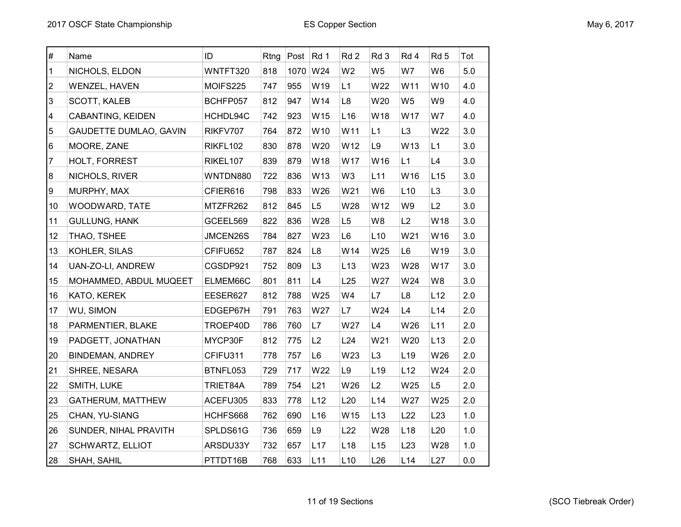| $\#$ | Name                          | ID       |     | Rtng Post | Rd 1            | Rd <sub>2</sub> | Rd <sub>3</sub> | Rd 4            | Rd <sub>5</sub> | Tot     |
|------|-------------------------------|----------|-----|-----------|-----------------|-----------------|-----------------|-----------------|-----------------|---------|
| 1    | NICHOLS, ELDON                | WNTFT320 | 818 | 1070      | W24             | W <sub>2</sub>  | W <sub>5</sub>  | W7              | W <sub>6</sub>  | 5.0     |
| 2    | WENZEL, HAVEN                 | MOIFS225 | 747 | 955       | W19             | L1              | W22             | W11             | W10             | 4.0     |
| 3    | SCOTT, KALEB                  | BCHFP057 | 812 | 947       | W14             | L8              | W20             | W <sub>5</sub>  | W9              | 4.0     |
| 4    | CABANTING, KEIDEN             | HCHDL94C | 742 | 923       | W15             | L <sub>16</sub> | W18             | W17             | W7              | 4.0     |
| 5    | <b>GAUDETTE DUMLAO, GAVIN</b> | RIKFV707 | 764 | 872       | W10             | W11             | L1              | L <sub>3</sub>  | W22             | 3.0     |
| 6    | MOORE, ZANE                   | RIKFL102 | 830 | 878       | W20             | W12             | L9              | W13             | L1              | 3.0     |
| 7    | HOLT, FORREST                 | RIKEL107 | 839 | 879       | W18             | W17             | W16             | L1              | L4              | 3.0     |
| 8    | NICHOLS, RIVER                | WNTDN880 | 722 | 836       | W13             | W3              | L11             | W16             | L15             | 3.0     |
| 9    | MURPHY, MAX                   | CFIER616 | 798 | 833       | W26             | W21             | W <sub>6</sub>  | L10             | L <sub>3</sub>  | $3.0\,$ |
| 10   | WOODWARD, TATE                | MTZFR262 | 812 | 845       | L <sub>5</sub>  | W28             | W12             | W9              | L2              | 3.0     |
| 11   | <b>GULLUNG, HANK</b>          | GCEEL569 | 822 | 836       | W28             | L <sub>5</sub>  | W8              | L2              | W18             | 3.0     |
| 12   | THAO, TSHEE                   | JMCEN26S | 784 | 827       | W23             | L6              | L10             | W21             | W16             | 3.0     |
| 13   | KOHLER, SILAS                 | CFIFU652 | 787 | 824       | L8              | W14             | W25             | L6              | W19             | 3.0     |
| 14   | UAN-ZO-LI, ANDREW             | CGSDP921 | 752 | 809       | L <sub>3</sub>  | L13             | W23             | W28             | W17             | 3.0     |
| 15   | MOHAMMED, ABDUL MUQEET        | ELMEM66C | 801 | 811       | L4              | L25             | W27             | W24             | W8              | 3.0     |
| 16   | KATO, KEREK                   | EESER627 | 812 | 788       | W25             | W4              | L7              | L8              | L12             | 2.0     |
| 17   | WU, SIMON                     | EDGEP67H | 791 | 763       | W27             | L7              | W24             | L4              | L14             | 2.0     |
| 18   | PARMENTIER, BLAKE             | TROEP40D | 786 | 760       | L7              | W27             | L4              | W26             | L11             | 2.0     |
| 19   | PADGETT, JONATHAN             | MYCP30F  | 812 | 775       | L2              | L24             | W21             | W20             | L13             | 2.0     |
| 20   | <b>BINDEMAN, ANDREY</b>       | CFIFU311 | 778 | 757       | L <sub>6</sub>  | W23             | L <sub>3</sub>  | L <sub>19</sub> | W26             | 2.0     |
| 21   | SHREE, NESARA                 | BTNFL053 | 729 | 717       | W22             | L9              | L <sub>19</sub> | L12             | W24             | 2.0     |
| 22   | SMITH, LUKE                   | TRIET84A | 789 | 754       | L21             | W26             | L2              | W25             | L <sub>5</sub>  | 2.0     |
| 23   | GATHERUM, MATTHEW             | ACEFU305 | 833 | 778       | L12             | L20             | L <sub>14</sub> | W27             | W25             | 2.0     |
| 25   | CHAN, YU-SIANG                | HCHFS668 | 762 | 690       | L <sub>16</sub> | W15             | L13             | L22             | L23             | 1.0     |
| 26   | SUNDER, NIHAL PRAVITH         | SPLDS61G | 736 | 659       | L9              | L22             | W28             | L <sub>18</sub> | L20             | 1.0     |
| 27   | SCHWARTZ, ELLIOT              | ARSDU33Y | 732 | 657       | L17             | L <sub>18</sub> | L15             | L23             | W28             | 1.0     |
| 28   | SHAH, SAHIL                   | PTTDT16B | 768 | 633       | L11             | L10             | L26             | L14             | L27             | 0.0     |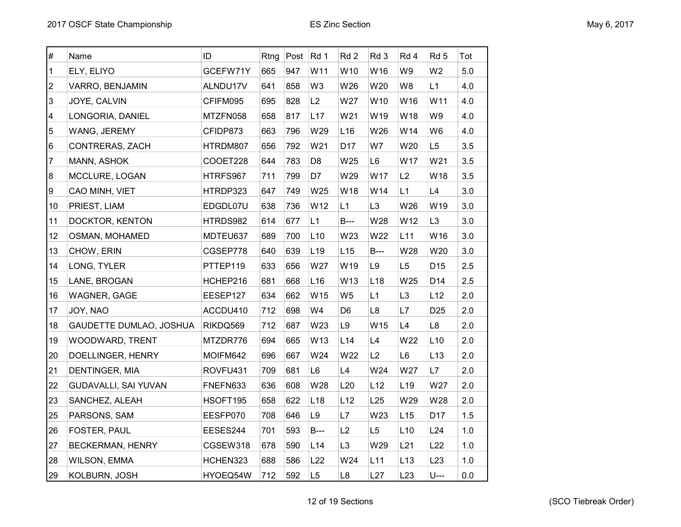| $\#$         | Name                    | ID       | Rtng | Post | Rd 1            | Rd <sub>2</sub> | Rd 3            | Rd 4            | Rd 5            | Tot     |
|--------------|-------------------------|----------|------|------|-----------------|-----------------|-----------------|-----------------|-----------------|---------|
| $\mathbf{1}$ | ELY, ELIYO              | GCEFW71Y | 665  | 947  | W11             | W10             | W16             | W9              | W <sub>2</sub>  | 5.0     |
| 2            | VARRO, BENJAMIN         | ALNDU17V | 641  | 858  | W <sub>3</sub>  | W26             | W20             | W8              | L1              | 4.0     |
| 3            | JOYE, CALVIN            | CFIFM095 | 695  | 828  | L2              | W27             | W10             | W16             | W11             | 4.0     |
| 4            | LONGORIA, DANIEL        | MTZFN058 | 658  | 817  | L17             | W21             | W19             | W18             | W9              | 4.0     |
| 5            | WANG, JEREMY            | CFIDP873 | 663  | 796  | W29             | L16             | W26             | W14             | W <sub>6</sub>  | 4.0     |
| 6            | CONTRERAS, ZACH         | HTRDM807 | 656  | 792  | W21             | D <sub>17</sub> | W7              | W20             | L <sub>5</sub>  | 3.5     |
| 7            | MANN, ASHOK             | COOET228 | 644  | 783  | D <sub>8</sub>  | W25             | L6              | W17             | W21             | 3.5     |
| 8            | MCCLURE, LOGAN          | HTRFS967 | 711  | 799  | D7              | W29             | W17             | L2              | W18             | 3.5     |
| 9            | CAO MINH, VIET          | HTRDP323 | 647  | 749  | W25             | W18             | W14             | L1              | L4              | 3.0     |
| 10           | PRIEST, LIAM            | EDGDL07U | 638  | 736  | W12             | L1              | L <sub>3</sub>  | W26             | W19             | 3.0     |
| 11           | DOCKTOR, KENTON         | HTRDS982 | 614  | 677  | L1              | $B---$          | W28             | W12             | L <sub>3</sub>  | 3.0     |
| 12           | OSMAN, MOHAMED          | MDTEU637 | 689  | 700  | L10             | W23             | W22             | L11             | W16             | 3.0     |
| 13           | CHOW, ERIN              | CGSEP778 | 640  | 639  | L <sub>19</sub> | L15             | $B--$           | W28             | W20             | 3.0     |
| 14           | LONG, TYLER             | PTTEP119 | 633  | 656  | W27             | W19             | L9              | L <sub>5</sub>  | D <sub>15</sub> | 2.5     |
| 15           | LANE, BROGAN            | HCHEP216 | 681  | 668  | L16             | W13             | L <sub>18</sub> | W25             | D14             | 2.5     |
| 16           | <b>WAGNER, GAGE</b>     | EESEP127 | 634  | 662  | W15             | W <sub>5</sub>  | L1              | L <sub>3</sub>  | L12             | 2.0     |
| 17           | JOY, NAO                | ACCDU410 | 712  | 698  | W4              | D <sub>6</sub>  | L8              | L7              | D <sub>25</sub> | 2.0     |
| 18           | GAUDETTE DUMLAO, JOSHUA | RIKDQ569 | 712  | 687  | W23             | L <sub>9</sub>  | W15             | L4              | L8              | 2.0     |
| 19           | WOODWARD, TRENT         | MTZDR776 | 694  | 665  | W13             | L14             | L4              | W22             | L10             | 2.0     |
| 20           | DOELLINGER, HENRY       | MOIFM642 | 696  | 667  | W24             | W22             | L2              | L <sub>6</sub>  | L13             | 2.0     |
| 21           | DENTINGER, MIA          | ROVFU431 | 709  | 681  | L6              | L4              | W24             | W27             | L7              | 2.0     |
| 22           | GUDAVALLI, SAI YUVAN    | FNEFN633 | 636  | 608  | W28             | L20             | L12             | L <sub>19</sub> | W27             | 2.0     |
| 23           | SANCHEZ, ALEAH          | HSOFT195 | 658  | 622  | L <sub>18</sub> | L12             | L25             | W29             | W28             | 2.0     |
| 25           | PARSONS, SAM            | EESFP070 | 708  | 646  | L9              | L7              | W23             | L15             | D17             | 1.5     |
| 26           | FOSTER, PAUL            | EESES244 | 701  | 593  | $B--$           | L2              | L <sub>5</sub>  | L10             | L24             | 1.0     |
| 27           | BECKERMAN, HENRY        | CGSEW318 | 678  | 590  | L14             | L <sub>3</sub>  | W29             | L21             | L22             | 1.0     |
| 28           | <b>WILSON, EMMA</b>     | HCHEN323 | 688  | 586  | L22             | W24             | L11             | L13             | L23             | 1.0     |
| 29           | KOLBURN, JOSH           | HYOEQ54W | 712  | 592  | L <sub>5</sub>  | L8              | L27             | L23             | $U$ ---         | $0.0\,$ |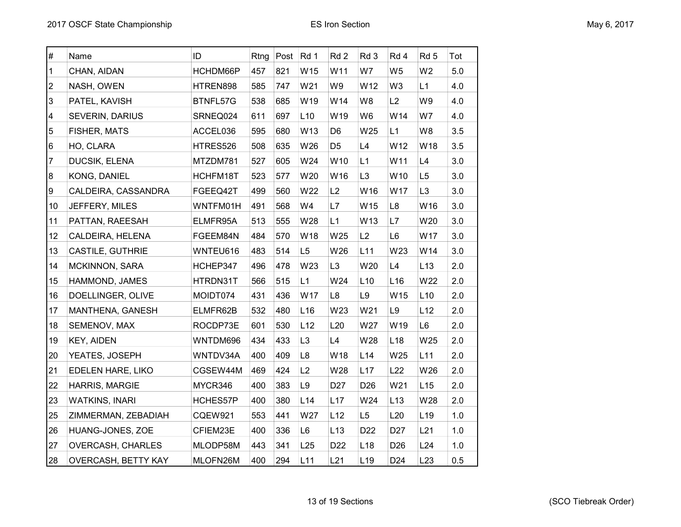| $\#$           | Name                     | ID       | Rtng | Post | Rd 1           | Rd <sub>2</sub> | Rd 3            | Rd 4            | Rd <sub>5</sub> | Tot |
|----------------|--------------------------|----------|------|------|----------------|-----------------|-----------------|-----------------|-----------------|-----|
| 1              | CHAN, AIDAN              | HCHDM66P | 457  | 821  | W15            | W11             | W7              | W <sub>5</sub>  | W <sub>2</sub>  | 5.0 |
| $\overline{c}$ | NASH, OWEN               | HTREN898 | 585  | 747  | W21            | W9              | W12             | W3              | L1              | 4.0 |
| $\mathbf{3}$   | PATEL, KAVISH            | BTNFL57G | 538  | 685  | W19            | W14             | W <sub>8</sub>  | L2              | W9              | 4.0 |
| 4              | <b>SEVERIN, DARIUS</b>   | SRNEQ024 | 611  | 697  | L10            | W19             | W6              | W14             | W7              | 4.0 |
| 5              | FISHER, MATS             | ACCEL036 | 595  | 680  | W13            | D <sub>6</sub>  | W25             | L1              | W8              | 3.5 |
| 6              | HO, CLARA                | HTRES526 | 508  | 635  | W26            | D <sub>5</sub>  | L4              | W12             | W18             | 3.5 |
| 7              | DUCSIK, ELENA            | MTZDM781 | 527  | 605  | W24            | W10             | L1              | W11             | L4              | 3.0 |
| 8              | <b>KONG, DANIEL</b>      | HCHFM18T | 523  | 577  | W20            | W16             | L <sub>3</sub>  | W10             | L <sub>5</sub>  | 3.0 |
| 9              | CALDEIRA, CASSANDRA      | FGEEQ42T | 499  | 560  | W22            | L2              | W16             | W17             | L <sub>3</sub>  | 3.0 |
| 10             | JEFFERY, MILES           | WNTFM01H | 491  | 568  | W4             | L7              | W15             | L8              | W16             | 3.0 |
| 11             | PATTAN, RAEESAH          | ELMFR95A | 513  | 555  | W28            | L1              | W13             | L7              | W20             | 3.0 |
| 12             | CALDEIRA, HELENA         | FGEEM84N | 484  | 570  | W18            | W25             | L2              | L <sub>6</sub>  | W17             | 3.0 |
| 13             | <b>CASTILE, GUTHRIE</b>  | WNTEU616 | 483  | 514  | L <sub>5</sub> | W26             | L11             | W23             | W14             | 3.0 |
| 14             | MCKINNON, SARA           | HCHEP347 | 496  | 478  | W23            | L <sub>3</sub>  | W20             | L4              | L13             | 2.0 |
| 15             | HAMMOND, JAMES           | HTRDN31T | 566  | 515  | L1             | W24             | L10             | L16             | W22             | 2.0 |
| 16             | DOELLINGER, OLIVE        | MOIDT074 | 431  | 436  | W17            | L8              | L9              | W15             | L <sub>10</sub> | 2.0 |
| 17             | MANTHENA, GANESH         | ELMFR62B | 532  | 480  | L16            | W23             | W21             | L9              | L12             | 2.0 |
| 18             | SEMENOV, MAX             | ROCDP73E | 601  | 530  | L12            | L20             | W27             | W19             | L6              | 2.0 |
| 19             | KEY, AIDEN               | WNTDM696 | 434  | 433  | L <sub>3</sub> | L4              | W28             | L <sub>18</sub> | W25             | 2.0 |
| 20             | YEATES, JOSEPH           | WNTDV34A | 400  | 409  | L <sub>8</sub> | W18             | L14             | W25             | L <sub>11</sub> | 2.0 |
| 21             | EDELEN HARE, LIKO        | CGSEW44M | 469  | 424  | L2             | W28             | L17             | L22             | W26             | 2.0 |
| 22             | HARRIS, MARGIE           | MYCR346  | 400  | 383  | L9             | D <sub>27</sub> | D <sub>26</sub> | W21             | L15             | 2.0 |
| 23             | <b>WATKINS, INARI</b>    | HCHES57P | 400  | 380  | L14            | L17             | W24             | L13             | W28             | 2.0 |
| 25             | ZIMMERMAN, ZEBADIAH      | CQEW921  | 553  | 441  | W27            | L12             | L5              | L20             | L <sub>19</sub> | 1.0 |
| 26             | HUANG-JONES, ZOE         | CFIEM23E | 400  | 336  | L <sub>6</sub> | L13             | D <sub>22</sub> | D <sub>27</sub> | L21             | 1.0 |
| 27             | <b>OVERCASH, CHARLES</b> | MLODP58M | 443  | 341  | L25            | D <sub>22</sub> | L <sub>18</sub> | D <sub>26</sub> | L24             | 1.0 |
| 28             | OVERCASH, BETTY KAY      | MLOFN26M | 400  | 294  | L11            | L21             | L <sub>19</sub> | D <sub>24</sub> | L23             | 0.5 |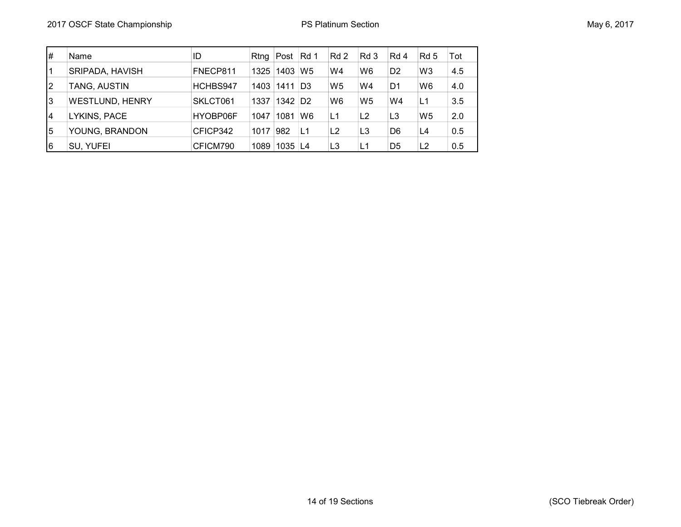| #  | Name                   | ID       | Rtng | Post Rd 1             |                | Rd 2           | Rd 3           | Rd 4           | Rd 5           | Tot |
|----|------------------------|----------|------|-----------------------|----------------|----------------|----------------|----------------|----------------|-----|
|    | SRIPADA, HAVISH        | FNECP811 | 1325 | 1403                  | W <sub>5</sub> | W4             | W <sub>6</sub> | D <sub>2</sub> | W <sub>3</sub> | 4.5 |
| 12 | TANG, AUSTIN           | HCHBS947 | 1403 | $1411$ D3             |                | W <sub>5</sub> | W4             | D1             | W6             | 4.0 |
| 3  | <b>WESTLUND, HENRY</b> | SKLCT061 | 1337 | $1342$ D <sub>2</sub> |                | W <sub>6</sub> | W <sub>5</sub> | W4             | L1             | 3.5 |
| 4  | LYKINS, PACE           | HYOBP06F | 1047 | 1081                  | W6             | L1             | L <sub>2</sub> | L <sub>3</sub> | W <sub>5</sub> | 2.0 |
| 5  | YOUNG, BRANDON         | CFICP342 | 1017 | 982                   | L1             | L2             | L <sub>3</sub> | D6             | L4             | 0.5 |
| 16 | SU, YUFEI              | CFICM790 | 1089 | 1035 L4               |                | L <sub>3</sub> | L1             | D <sub>5</sub> | L2             | 0.5 |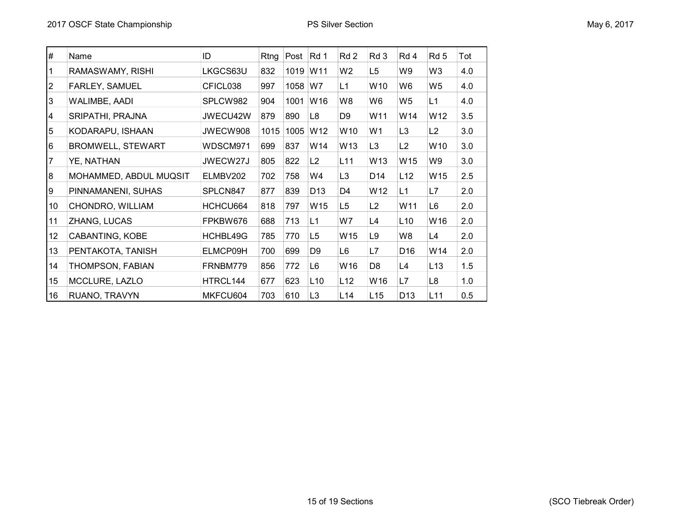| #  | Name                     | ID       | Rtng | Post | Rd 1            | Rd 2            | Rd 3            | Rd 4            | Rd 5            | Tot |
|----|--------------------------|----------|------|------|-----------------|-----------------|-----------------|-----------------|-----------------|-----|
|    | RAMASWAMY, RISHI         | LKGCS63U | 832  | 1019 | W11             | W <sub>2</sub>  | L <sub>5</sub>  | W9              | W <sub>3</sub>  | 4.0 |
| 2  | FARLEY, SAMUEL           | CFICL038 | 997  | 1058 | W7              | L1              | W10             | W6              | W <sub>5</sub>  | 4.0 |
| 3  | WALIMBE, AADI            | SPLCW982 | 904  | 1001 | W <sub>16</sub> | W8              | W6              | W5              | L1              | 4.0 |
| 4  | SRIPATHI, PRAJNA         | JWECU42W | 879  | 890  | L8              | D <sub>9</sub>  | W11             | W14             | W12             | 3.5 |
| 5  | KODARAPU, ISHAAN         | JWECW908 | 1015 | 1005 | W12             | W10             | W <sub>1</sub>  | L <sub>3</sub>  | L2              | 3.0 |
| 6  | <b>BROMWELL, STEWART</b> | WDSCM971 | 699  | 837  | W14             | W13             | L <sub>3</sub>  | L2              | W <sub>10</sub> | 3.0 |
|    | YE, NATHAN               | JWECW27J | 805  | 822  | L2              | L11             | W13             | W15             | W9              | 3.0 |
| 8  | MOHAMMED, ABDUL MUQSIT   | ELMBV202 | 702  | 758  | W4              | L <sub>3</sub>  | D14             | L12             | W15             | 2.5 |
| 9  | PINNAMANENI, SUHAS       | SPLCN847 | 877  | 839  | D <sub>13</sub> | D4              | W <sub>12</sub> | L1              | L7              | 2.0 |
| 10 | CHONDRO, WILLIAM         | HCHCU664 | 818  | 797  | W <sub>15</sub> | L5              | L2              | W <sub>11</sub> | L <sub>6</sub>  | 2.0 |
| 11 | ZHANG, LUCAS             | FPKBW676 | 688  | 713  | L1              | W7              | L4              | L10             | W16             | 2.0 |
| 12 | CABANTING, KOBE          | HCHBL49G | 785  | 770  | L5              | W15             | L9              | W8              | L4              | 2.0 |
| 13 | PENTAKOTA, TANISH        | ELMCP09H | 700  | 699  | D <sub>9</sub>  | L6              | L7              | D <sub>16</sub> | W14             | 2.0 |
| 14 | THOMPSON, FABIAN         | FRNBM779 | 856  | 772  | L <sub>6</sub>  | W16             | D <sub>8</sub>  | L4              | L13             | 1.5 |
| 15 | MCCLURE, LAZLO           | HTRCL144 | 677  | 623  | L10             | L12             | W16             | L7              | L <sub>8</sub>  | 1.0 |
| 16 | RUANO, TRAVYN            | MKFCU604 | 703  | 610  | L <sub>3</sub>  | L <sub>14</sub> | L15             | D <sub>13</sub> | L11             | 0.5 |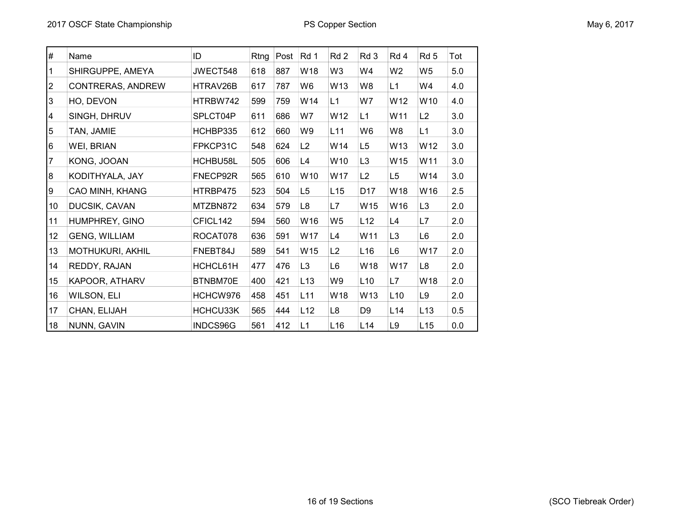| $\#$           | Name                 | ID       | Rtng | Post | Rd 1           | Rd <sub>2</sub> | Rd 3            | Rd 4            | Rd <sub>5</sub> | Tot |
|----------------|----------------------|----------|------|------|----------------|-----------------|-----------------|-----------------|-----------------|-----|
| 1              | SHIRGUPPE, AMEYA     | JWECT548 | 618  | 887  | W18            | W3              | W4              | W <sub>2</sub>  | W <sub>5</sub>  | 5.0 |
| $\overline{2}$ | CONTRERAS, ANDREW    | HTRAV26B | 617  | 787  | W <sub>6</sub> | W13             | W <sub>8</sub>  | L1              | W4              | 4.0 |
| 3              | HO, DEVON            | HTRBW742 | 599  | 759  | W14            | L1              | W7              | W12             | W10             | 4.0 |
| 4              | SINGH, DHRUV         | SPLCT04P | 611  | 686  | W7             | W12             | L1              | W11             | L2              | 3.0 |
| 5              | TAN, JAMIE           | HCHBP335 | 612  | 660  | W9             | L11             | W <sub>6</sub>  | W8              | L1              | 3.0 |
| 6              | WEI, BRIAN           | FPKCP31C | 548  | 624  | L2             | W14             | L <sub>5</sub>  | W13             | W12             | 3.0 |
| 7              | KONG, JOOAN          | HCHBU58L | 505  | 606  | L4             | W10             | L <sub>3</sub>  | W15             | W11             | 3.0 |
| 8              | KODITHYALA, JAY      | FNECP92R | 565  | 610  | W10            | W17             | L2              | L <sub>5</sub>  | W14             | 3.0 |
| 9              | CAO MINH, KHANG      | HTRBP475 | 523  | 504  | L <sub>5</sub> | L15             | D <sub>17</sub> | W18             | W16             | 2.5 |
| 10             | DUCSIK, CAVAN        | MTZBN872 | 634  | 579  | L <sub>8</sub> | L7              | W15             | W16             | L <sub>3</sub>  | 2.0 |
| 11             | HUMPHREY, GINO       | CFICL142 | 594  | 560  | W16            | W <sub>5</sub>  | L12             | L4              | L7              | 2.0 |
| 12             | <b>GENG, WILLIAM</b> | ROCAT078 | 636  | 591  | W17            | L4              | W11             | L3              | L6              | 2.0 |
| 13             | MOTHUKURI, AKHIL     | FNEBT84J | 589  | 541  | W15            | L2              | L16             | L6              | W17             | 2.0 |
| 14             | REDDY, RAJAN         | HCHCL61H | 477  | 476  | L3             | L6              | W18             | W17             | L <sub>8</sub>  | 2.0 |
| 15             | KAPOOR, ATHARV       | BTNBM70E | 400  | 421  | L13            | W9              | L10             | L7              | W18             | 2.0 |
| 16             | WILSON, ELI          | HCHCW976 | 458  | 451  | L11            | W18             | W13             | L <sub>10</sub> | L9              | 2.0 |
| 17             | CHAN, ELIJAH         | HCHCU33K | 565  | 444  | L12            | L8              | D <sub>9</sub>  | L14             | L13             | 0.5 |
| 18             | NUNN, GAVIN          | INDCS96G | 561  | 412  | L1             | L <sub>16</sub> | L14             | L9              | L15             | 0.0 |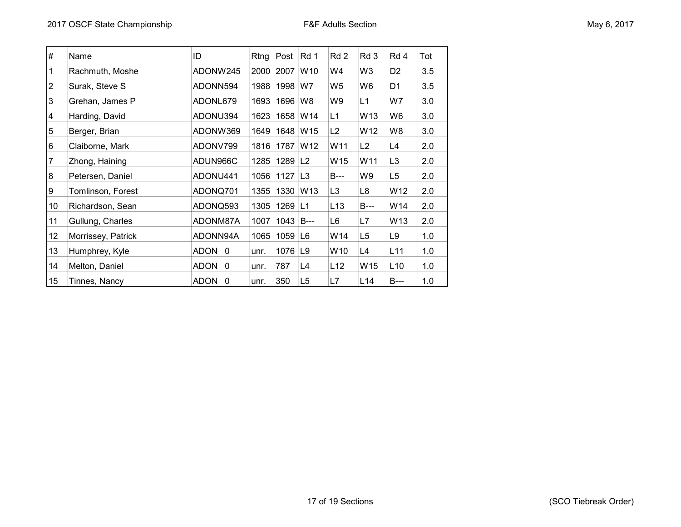| May 6, 2017 |  |  |  |
|-------------|--|--|--|
|-------------|--|--|--|

| #  | Name               | ID                 | Rtng | Post         | Rd 1            | Rd 2            | Rd 3            | Rd 4            | Tot |
|----|--------------------|--------------------|------|--------------|-----------------|-----------------|-----------------|-----------------|-----|
| 1  | Rachmuth, Moshe    | ADONW245           | 2000 | 2007         | W <sub>10</sub> | W4              | W3              | D <sub>2</sub>  | 3.5 |
| 2  | Surak, Steve S     | ADONN594           | 1988 | 1998         | W7              | W5              | W6              | D1              | 3.5 |
| 3  | Grehan, James P    | ADONL679           | 1693 | 1696         | W8              | W9              | L1              | W7              | 3.0 |
| 4  | Harding, David     | ADONU394           | 1623 | 1658         | W14             | L1              | W13             | W6              | 3.0 |
| 5  | Berger, Brian      | ADONW369           | 1649 | 1648         | W15             | L2              | W <sub>12</sub> | W8              | 3.0 |
| 6  | Claiborne, Mark    | ADONV799           | 1816 | 1787         | W <sub>12</sub> | W11             | L2              | L4              | 2.0 |
|    | Zhong, Haining     | ADUN966C           |      | 1285 1289 L2 |                 | W15             | W11             | L3              | 2.0 |
| 8  | Petersen, Daniel   | ADONU441           | 1056 | $1127$ L3    |                 | B---            | W9              | L5              | 2.0 |
| 9  | Tomlinson, Forest  | ADONQ701           | 1355 | 1330         | W <sub>13</sub> | L <sub>3</sub>  | L8              | W12             | 2.0 |
| 10 | Richardson, Sean   | ADONQ593           | 1305 | 1269         | L1              | L <sub>13</sub> | B---            | W14             | 2.0 |
| 11 | Gullung, Charles   | ADONM87A           | 1007 | 1043         | <b>B</b> ---    | L6              | L7              | W13             | 2.0 |
| 12 | Morrissey, Patrick | ADONN94A           | 1065 | 1059         | L6              | W14             | L <sub>5</sub>  | L9              | 1.0 |
| 13 | Humphrey, Kyle     | <b>ADON</b><br>- 0 | unr. | 1076         | L9              | W10             | L4              | L11             | 1.0 |
| 14 | Melton, Daniel     | <b>ADON</b><br>- 0 | unr. | 787          | L4              | L12             | W <sub>15</sub> | L <sub>10</sub> | 1.0 |
| 15 | Tinnes, Nancy      | <b>ADON</b><br>0   | unr. | 350          | L <sub>5</sub>  | L7              | L14             | <b>B</b> ---    | 1.0 |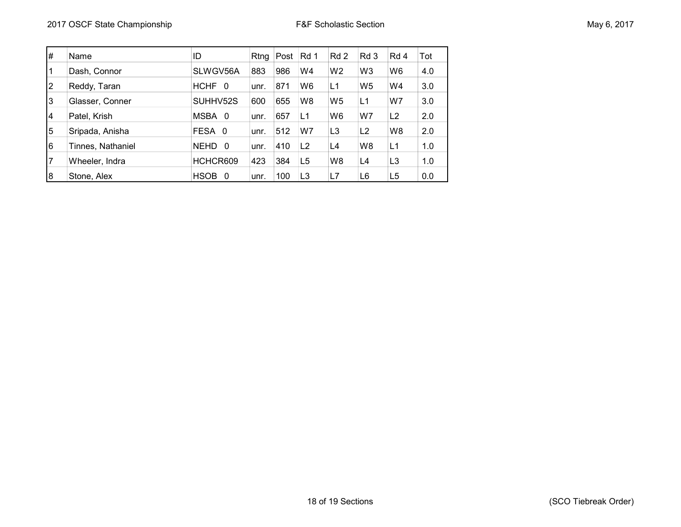| #              | Name              | ID                      | Rtng | Post | Rd 1           | Rd 2           | Rd 3           | Rd 4           | Tot |
|----------------|-------------------|-------------------------|------|------|----------------|----------------|----------------|----------------|-----|
|                | Dash, Connor      | SLWGV56A                | 883  | 986  | W4             | W <sub>2</sub> | W <sub>3</sub> | W <sub>6</sub> | 4.0 |
| $\overline{2}$ | Reddy, Taran      | <b>HCHF</b><br>$\Omega$ | unr. | 871  | W6             | L1             | W <sub>5</sub> | W4             | 3.0 |
| IЗ             | Glasser, Conner   | SUHHV52S                | 600  | 655  | W8             | W <sub>5</sub> | L1             | W7             | 3.0 |
| 4              | Patel, Krish      | MSBA 0                  | unr. | 657  | L1             | W6             | W7             | L2             | 2.0 |
| 5              | Sripada, Anisha   | FESA 0                  | unr. | 512  | W7             | L <sub>3</sub> | L <sub>2</sub> | W8             | 2.0 |
| l6             | Tinnes, Nathaniel | <b>NEHD</b><br>- 0      | unr. | 410  | L <sub>2</sub> | L4             | W <sub>8</sub> | L1             | 1.0 |
| 7              | Wheeler, Indra    | HCHCR609                | 423  | 384  | L <sub>5</sub> | W8             | L4             | L <sub>3</sub> | 1.0 |
| 8              | Stone, Alex       | <b>HSOB</b><br>0        | unr. | 100  | L3             | L7             | L6             | L5             | 0.0 |